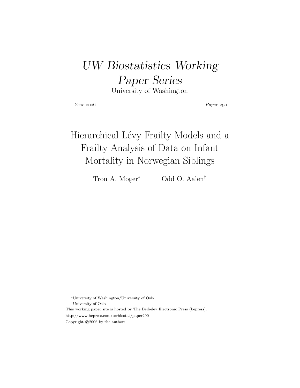# UW Biostatistics Working

## Paper Series

University of Washington

| $Year\ 2006$ | Paper 290 |
|--------------|-----------|
|--------------|-----------|

# Hierarchical Lévy Frailty Models and a Frailty Analysis of Data on Infant Mortality in Norwegian Siblings

Tron A. Moger<sup>∗</sup> Odd O. Aalen<sup>†</sup>

<sup>∗</sup>University of Washington/University of Oslo †University of Oslo This working paper site is hosted by The Berkeley Electronic Press (bepress). http://www.bepress.com/uwbiostat/paper290 Copyright  $\odot$ 2006 by the authors.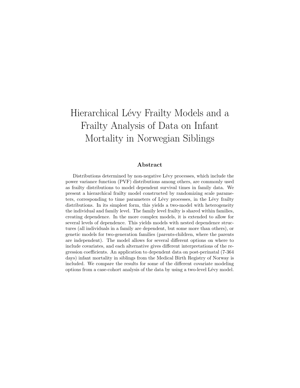## Hierarchical Lévy Frailty Models and a Frailty Analysis of Data on Infant Mortality in Norwegian Siblings

#### Abstract

Distributions determined by non-negative Lévy processes, which include the power variance function (PVF) distributions among others, are commonly used as frailty distributions to model dependent survival times in family data. We present a hierarchical frailty model constructed by randomizing scale parameters, corresponding to time parameters of Lévy processes, in the Lévy frailty distributions. In its simplest form, this yields a two-model with heterogeneity the individual and family level. The family level frailty is shared within families, creating dependence. In the more complex models, it is extended to allow for several levels of dependence. This yields models with nested dependence structures (all individuals in a family are dependent, but some more than others), or genetic models for two-generation families (parents-children, where the parents are independent). The model allows for several different options on where to include covariates, and each alternative gives different interpretations of the regression coefficients. An application to dependent data on post-perinatal (7-364 days) infant mortality in siblings from the Medical Birth Registry of Norway is included. We compare the results for some of the different covariate modeling options from a case-cohort analysis of the data by using a two-level Lévy model.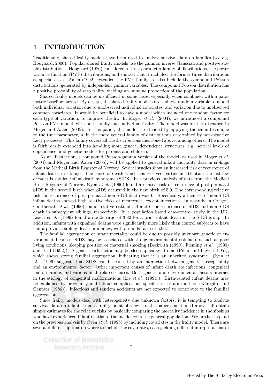## 1 INTRODUCTION

Traditionally, shared frailty models have been used to analyze survival data on families (see e.g. Hougaard, 2000). Popular shared frailty models use the gamma, inverse Gaussian and positive stable distributions. Hougaard (1986) considered a three-parameter family of distributions, the power variance function (PVF) distributions, and showed that it included the former three distributions as special cases. Aalen (1992) extended the PVF family, to also include the compound Poisson distributions, generated by independent gamma variables. The compound Poisson distribution has a positive probability of zero frailty, yielding an immune proportion of the population.

Shared frailty models can be insufficient in some cases, especially when combined with a parametric baseline hazard. By design, the shared frailty models use a single random variable to model both individual variation due to unobserved individual covariates, and variation due to unobserved common covariates. It would be beneficial to have a model which included one random factor for each type of variation, to improve the fit. In Moger *et al.* (2004), we introduced a compound Poisson-PVF model, with both family and individual frailty. The model was further discussed in Moger and Aalen (2005). In this paper, the model is extended by applying the same technique to the time parameter,  $\rho$ , in the more general family of distributions determined by non-negative Lévy processes. This family covers all the distributions mentioned above, among others. The model is fairly easily extended into handling more general dependence structures, e.g. several levels of dependence, and genetic models for parents and children.

As an illustration, a compound Poisson-gamma version of the model, as used in Moger et al. (2004) and Moger and Aalen (2005), will be applied to general infant mortality data in siblings from the Medical Birth Register of Norway. Several studies show an increased risk of recurrence of infant deaths in siblings. The cause of death which has received particular attention the last few decades is sudden infant death syndrome (SIDS). In a previous analysis of data from the Medical Birth Registry of Norway, Øyen *et al.* (1996) found a relative risk of recurrence of post-perinatal SIDS in the second birth when SIDS occurred in the first birth of 5.9. The corresponding relative risk for recurrence of post-perinatal non-SIDS death was 6. Specifically, all causes of non-SIDS infant deaths showed high relative risks of recurrence, except infections. In a study in Oregon, Guntheroth et al. (1990) found relative risks of 5.4 and 6 for recurrence of SIDS and non-SIDS death in subsequent siblings, respectively. In a population based case-control study in the UK, Leach *et al.* (1999) found an odds ratio of 3.82 for a prior infant death in the SIDS group. In addition, infants with explained deaths were significantly more likely than control subjects to have had a previous sibling death in infancy, with an odds ratio of 5.96.

The familial aggregation of infant mortality could be due to possibly unknown genetic or environmental causes. SIDS may be associated with strong environmental risk factors, such as poor living conditions, sleeping position or maternal smoking (Beckwith (1990), Fleming et al. (1990) and Beal (1992)). A genetic risk factor may be sleep apnea syndrome (Pillar and Lavie (1995)), which shows strong familial aggregation, indicating that it is an inherited syndrome. Øyen et al. (1996) suggests that SIDS can be caused by an interaction between genetic susceptibility and an environmental factor. Other important causes of infant death are infections, congenital malformations and various birth-related causes. Both genetic and environmental factors interact in the etiology of congenital malformations (Lie *et al.*  $(1994)$ ). Birth-related infant deaths may be explained by pregnancy and labour complications specific to certain mothers (Kåregård and Gennser (1986)). Infections and random accidents are not expected to contribute to the familial aggregation.

Since frailty models deal with heterogeneity due unknown factors, it is tempting to analyze survival data on infants from a frailty point of view. In the papers mentioned above, all obtain simple estimates for the relative risks by basically comparing the mortality incidence in the sibships who have experienced infant deaths to the incidence in the general population. We further expand on the previous analysis by Øyen *et al.* (1996) by including covariates in the frailty model. There are several different options on where to include the covariates, each yielding different interpretations of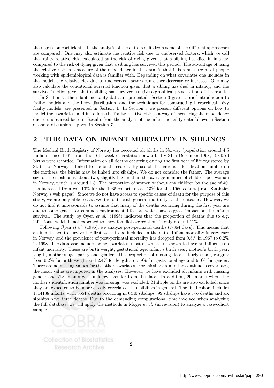the regression coefficients. In the analysis of the data, results from some of the different approaches are compared. One may also estimate the relative risk due to unobserved factors, which we call the frailty relative risk, calculated as the risk of dying given that a sibling has died in infancy, compared to the risk of dying given that a sibling has survived this period. The advantage of using the relative risk as a measure of the dependence in the data, is that it is a measure most people working with epidemiological data is familiar with. Depending on what covariates one includes in the model, the relative risk due to unobserved factors can either decrease or increase. One may also calculate the conditional survival function given that a sibling has died in infancy, and the survival function given that a sibling has survived, to give a graphical presentation of the results.

In Section 2, the infant mortality data are presented. Section 3 gives a brief introduction to frailty models and the Lévy distribution, and the techniques for constructing hierarchical Lévy frailty models, are presented in Section 4. In Section 5 we present different options on how to model the covariates, and introduce the frailty relative risk as a way of measuring the dependence due to unobserved factors. Results from the analysis of the infant mortality data follows in Section 6, and a discussion is given in Section 7.

## 2 THE DATA ON INFANT MORTALITY IN SIBLINGS

The Medical Birth Registry of Norway has recorded all births in Norway (population around 4.5 million) since 1967, from the 16th week of gestation onward. By 31th December 1998, 1986576 births were recorded. Information on all deaths occurring during the first year of life registered by Statistics Norway is linked to the birth records. By use of the national identification number on the mothers, the births may be linked into sibships. We do not consider the father. The average size of the sibships is about two, slightly higher than the average number of children per woman in Norway, which is around 1.8. The proportion of women without any children by the age of 40, has increased from ca.  $10\%$  for the 1935-cohort to ca.  $13\%$  for the 1960-cohort (from Statistics Norway's web pages). Since we do not have access to specific causes of death for the purpose of this study, we are only able to analyze the data with general mortality as the outcome. However, we do not find it unreasonable to assume that many of the deaths occurring during the first year are due to some genetic or common environmental factors which have a great impact on the infants survival. The study by Øyen et al.  $(1996)$  indicates that the proportion of deaths due to e.g. infections, which is not expected to show familial aggregation, is only around 11%.

Following Øyen *et al.* (1996), we analyze post-perinatal deaths (7-364 days). This means that an infant have to survive the first week to be included in the data. Infant mortality is very rare in Norway, and the prevalence of post-perinatal mortality has dropped from 0.5% in 1967 to 0.2% in 1998. The database includes some covariates, most of which are known to have an influence on infant mortality. These are birth weight, gestational age, infant's birth year, mother's birth year, length, mother's age, parity and gender. The proportion of missing data is fairly small, ranging from 0.2% for birth weight and 2.4% for length, to 5.9% for gestational age and 6.0% for gender. There are no missing values for the other covariates. For missing data in the continuous covariates, the mean value are imputed in the analyses. However, we have excluded all infants with missing gender and 793 infants with unknown gender from the data. In addition, 20 infants where the mother's identification number was missing, was excluded. Multiple births are also excluded, since they are expected to be more closely correlated than siblings in general. The final cohort includes 1814188 infants, with 6551 deaths occurring in 6440 sibships. 99 sibships have two deaths and six sibships have three deaths. Due to the demanding computational time involved when analyzing the full database, we will apply the methods in Moger et al. (in revision) to analyze a case-cohort sample.

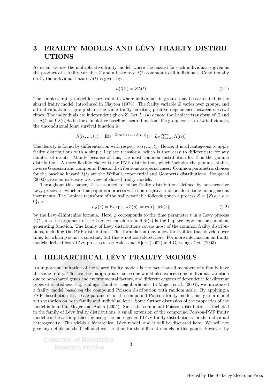## 3 FRAILTY MODELS AND LÉVY FRAILTY DISTRIB-UTIONS

As usual, we use the multiplicative frailty model, where the hazard for each individual is given as the product of a frailty variable Z and a basic rate  $\lambda(t)$  common to all individuals. Conditionally on  $Z$ , the individual hazard  $h(t)$  is given by:

$$
h(t|Z) = Z\lambda(t) \tag{2.1}
$$

The simplest frailty model for survival data where individuals in groups may be correlated, is the shared frailty model, introduced in Clayton (1978). The frailty variable Z varies over groups, and all individuals in a group share the same frailty, creating positive dependence between survival times. The individuals are independent given Z. Let  $L_Z(\bullet)$  denote the Laplace transform of Z and let  $\Lambda(t) = \int \lambda(u) du$  be the cumulative baseline hazard function. If a group consists of k individuals, the unconditional joint survival function is

$$
S(t_1, ..., t_k) = \mathbf{E}(e^{-Z(\Lambda(t_1) + ... + \Lambda(t_k))}) = L_Z(\sum_{i=1}^k \Lambda(t_i))
$$

The density is found by differentiation with respect to  $t_1, \ldots, t_k$ . Hence, it is advantageous to apply frailty distributions with a simple Laplace transform, which is then easy to differentiate for any number of events. Mainly because of this, the most common distribution for  $Z$  is the gamma distribution. A more flexible choice is the PVF distribution, which includes the gamma, stable, inverse Gaussian and compound Poisson distributions as special cases. Common parametric choices for the baseline hazard  $\lambda(t)$  are the Weibull, exponential and Gompertz distributions. Hougaard (2000) gives an extensive overview of shared frailty models.

Throughout this paper, Z is assumed to follow frailty distributions defined by non-negative Lévy processes, which in this paper is a process with non-negative, independent, time-homogeneous increments. The Laplace transform of the frailty variable following such a process  $Z = \{Z(\rho) : \rho \geq \rho\}$  $0\}$ , is

$$
L_Z(s) = \operatorname{E} \exp\left[-sZ(\rho)\right] = \exp\left[-\rho \Psi(s)\right] \tag{2.2}
$$

by the Lévy-Khintchine formula. Here,  $\rho$  corresponds to the time parameter t in a Lévy process  $Z(t)$ , s is the argument of the Laplace transform, and  $\Psi(s)$  is the Laplace exponent or cumulant generating function. The family of Lévy distributions covers most of the common frailty distributions, including the PVF distribution. This formulation may allow for frailties that develop over time, for which  $\rho$  is not a constant, but this is not considered here. For more information on frailty models derived from Lévy processes, see Aalen and Hjort (2002) and Gjessing et al. (2003).

## 4 HIERARCHICAL LÉVY FRAILTY MODELS

An important limitation of the shared frailty models is the fact that all members of a family have the same frailty. This can be inappropriate, since one would also expect some individual variation due to non-shared genes and environmental factors, and different degrees of dependence for different types of relatedness, e.g. siblings, families, neighborhoods. In Moger et al. (2004), we introduced a frailty model based on the compound Poisson distribution with random scale. By applying a PVF distribution to a scale parameter in the compound Poisson frailty model, one gets a model with variation on both family and individual level. Some further discussion of the properties of the model is found in Moger and Aalen (2005). Since the compound Poisson distribution is included in the family of Lévy frailty distributions, a small extension of the compound Poisson-PVF frailty model can be accomplished by using the more general Lévy frailty distributions for the individual heterogeneity. This yields a hierarchical Lévy model, and it will be discussed here. We will not give any details on the likelihood construction for the different models in this paper. However, by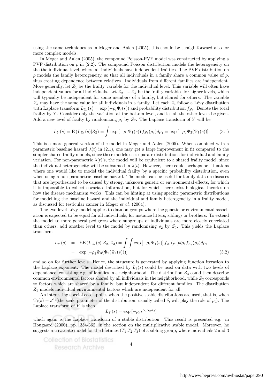using the same techniques as in Moger and Aalen (2005), this should be straightforward also for more complex models.

In Moger and Aalen (2005), the compound Poisson-PVF model was constructed by applying a PVF distribution on  $\rho$  in (2.2). The compound Poisson distribution models the heterogeneity on the the individual level, where all individuals have independent frailties. The PVF distribution on  $\rho$  models the family heterogeneity, so that all individuals in a family share a common value of  $\rho$ , thus creating dependence between relatives. Individuals from different families are independent. More generally, let  $Z_1$  be the frailty variable for the individual level. This variable will often have independent values for all individuals. Let  $Z_2, ..., Z_k$  be the frailty variables for higher levels, which will typically be independent for some members of a family, but shared for others. The variable  $Z_k$  may have the same value for all individuals in a family. Let each  $Z_i$  follow a Lévy distribution with Laplace transform  $L_{Z_i}(s) = \exp(-\rho_i \Psi_i(s))$  and probability distribution  $f_{Z_i}$ . Denote the total frailty by Y. Consider only the variation at the bottom level, and let all the other levels be given. Add a new level of frailty by randomizing  $\rho_1$  by  $Z_2$ . The Laplace transform of Y will be

$$
L_Y(s) = \mathcal{E}\left(L_{Z_1}(s)|Z_2\right) = \int \exp\left(-\rho_1\Psi_1(s)\right) f_{Z_2}(\rho_1) d\rho_1 = \exp\left[-\rho_2\Psi_2(\Psi_1(s))\right] \tag{3.1}
$$

This is a more general version of the model in Moger and Aalen (2005). When combined with a parametric baseline hazard  $\lambda(t)$  in (2.1), one may get a large improvement in fit compared to the simpler shared frailty models, since these models use separate distributions for individual and family variation. For non-parametric  $\lambda(t)$ 's, the model will be equivalent to a shared frailty model, since the individual heterogeneity will be subsumed in  $\lambda(t)$ . However, there could perhaps be situations where one would like to model the individual frailty by a specific probability distribution, even when using a non-parametric baseline hazard. The model can be useful for family data on diseases that are hypothesized to be caused by strong, unknown genetic or environmental effects, for which it is impossible to collect covariate information, but for which there exist biological theories on how the disease mechanism works. This can be hinting at using specific parametric distributions for modelling the baseline hazard and the individual and family heterogeneity in a frailty model, as discussed for testicular cancer in Moger et al. (2004).

The two-level Lévy model applies to data on groups where the genetic or environmental association is expected to be equal for all individuals, for instance litters, siblings or brothers. To extend the model to more general pedigrees where subgroups of individuals are more closely correlated than others, add another level to the model by randomizing  $\rho_2$  by  $Z_3$ . This yields the Laplace transform

$$
L_Y(s) = \text{EE}(L_{Z_1}(s)|Z_2, Z_3) = \iint \exp\left[-\rho_1 \Psi_1(s)\right] f_{Z_2}(\rho_1) d\rho_1 f_{Z_3}(\rho_2) d\rho_2
$$
  
=  $\exp\left[-\rho_3 \Psi_3(\Psi_2(\Psi_1(s))\right)]$  (3.2)

and so on for further levels. Hence, the structure is generated by applying function iteration to the Laplace exponent. The model described by  $L_3(s)$  could be used on data with two levels of dependence, consisting e.g. of families in a neighborhood. The distribution  $Z_3$  could then describe common environmental factors shared by all individuals in the neighborhood, while  $Z_2$  corresponds to factors which are shared by a family, but independent for different families. The distribution  $Z_1$  models individual environmental factors which are independent for all.

An interesting special case applies when the positive stable distributions are used, that is, when  $\Psi_i(s) = s^{\alpha_i}$  (the scale parameter of the distribution, usually called  $\delta$ , will play the role of  $\rho_i$ ). The Laplace transform of  $Y$  is then

$$
L_Y(s)=\exp{[-\rho_3 s^{\alpha_1\alpha_2\alpha_3}]}
$$

which again is the Laplace transform of a stable distribution. This result is presented e.g. in Hougaard (2000), pp. 354-362, in the section on the multiplicative stable model. Moreover, he suggests a trivariate model for the lifetimes  $(T_1,T_2,T_3)$  of a sibling group, where individuals 2 and 3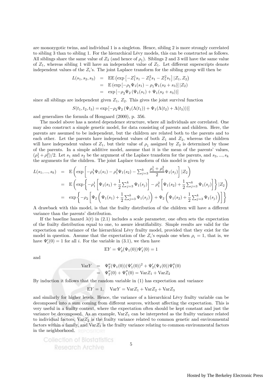are monozygotic twins, and individual 1 is a singleton. Hence, sibling 2 is more strongly correlated to sibling 3 than to sibling 1. For the hierarchical Lévy models, this can be constructed as follows. All siblings share the same value of  $Z_2$  (and hence of  $\rho_1$ ). Siblings 2 and 3 will have the same value of  $Z_1$ , whereas sibling 1 will have an independent value of  $Z_1$ . Let different superscripts denote independent values of the  $Z_i$ 's. The joint Laplace transform for the sibling group will then be

$$
L(s_1, s_2, s_3) = \text{EE} \left( \exp \left[ -Z_1^1 s_1 - Z_1^2 s_1 - Z_1^2 s_1 \right] | Z_1, Z_2 \right)
$$
  
= \text{E} \left( \exp \left[ -\rho\_1 \Psi\_1(s\_1) - \rho\_1 \Psi\_1(s\_2 + s\_3) \right] | Z\_2 \right)  
= \exp \left[ -\rho\_2 \Psi\_2 \left( \Psi\_1(s\_1) + \Psi\_1(s\_2 + s\_3) \right) \right]

since all siblings are independent given  $Z_1$ ,  $Z_2$ . This gives the joint survival function

$$
S(t_1, t_2, t_3) = \exp[-\rho_2 \Psi_2 (\Psi_1(\Lambda(t_1)) + \Psi_1(\Lambda(t_2) + \Lambda(t_3)))]
$$

and generalizes the formula of Hougaard (2000), p. 356.

The model above has a nested dependence structure, where all individuals are correlated. One may also construct a simple genetic model, for data consisting of parents and children. Here, the parents are assumed to be independent, but the children are related both to the parents and to each other. Let the parents have independent values of both  $Z_1$  and  $Z_2$ , whereas the children will have independent values of  $Z_1$ , but their value of  $\rho_1$  assigned by  $Z_2$  is determined by those of the parents. In a simple additive model, assume that it is the mean of the parents' values,  $(\rho_1^1 + \rho_1^2)/2$ . Let  $s_1$  and  $s_2$  be the argument of the Laplace transform for the parents, and  $s_3, ..., s_k$ the arguments for the children. The joint Laplace transform of this model is given by

$$
L(s_1, ..., s_k) = \mathbf{E} \left( \exp \left[ -\rho_1^1 \Psi_1(s_1) - \rho_1^2 \Psi_1(s_2) - \sum_{j=3}^k \frac{\rho_1^1 + \rho_1^2}{2} \Psi_1(s_j) \right] | Z_2 \right)
$$
  
\n
$$
= \mathbf{E} \left( \exp \left\{ -\rho_1^1 \left[ \Psi_1(s_1) + \frac{1}{2} \sum_{j=3}^k \Psi_1(s_j) \right] - \rho_1^2 \left[ \Psi_1(s_2) + \frac{1}{2} \sum_{j=3}^k \Psi_1(s_j) \right] \right\} | Z_2 \right)
$$
  
\n
$$
= \exp \left\{ -\rho_2 \left[ \Psi_2 \left( \Psi_1(s_1) + \frac{1}{2} \sum_{j=3}^k \Psi_1(s_j) \right) + \Psi_2 \left( \Psi_1(s_2) + \frac{1}{2} \sum_{j=3}^k \Psi_1(s_j) \right) \right] \right\}
$$

A drawback with this model, is that the frailty distribution of the children will have a different variance than the parents' distribution.

If the baseline hazard  $\lambda(t)$  in (2.1) includes a scale parameter, one often sets the expectation of the frailty distribution equal to one, to assure identifiability. Simple results are valid for the expectation and variance of the hierarchical Lévy frailty model, provided that they exist for the model in question. Assume that the expectation of the  $Z_i$ 's equals one when  $\rho_i = 1$ , that is, we have  $\Psi_i'(0) = 1$  for all *i*. For the variable in (3.1), we then have

$$
EY = \Psi_2'(\Psi_1(0))\Psi_1'(0) = 1
$$

and

$$
VarY = \Psi_2''(\Psi_1(0))(\Psi_1'(0))^2 + \Psi_2'(\Psi_1(0))\Psi_1''(0)
$$
  
=  $\Psi_2''(0) + \Psi_1''(0) = VarZ_1 + VarZ_2$ 

By induction it follows that the random variable in (1) has expectation and variance

$$
EY = 1, \quad \text{Var}Y = \text{Var}Z_1 + \text{Var}Z_2 + \text{Var}Z_3
$$

and similarly for higher levels. Hence, the variance of a hierarchical Lévy frailty variable can be decomposed into a sum coming from different sources, without affecting the expectation. This is very useful in a frailty context, where the expectation often should be kept constant and just the variance be decomposed. As an example,  $VarZ_1$  can be interpreted as the frailty variance related to individual factors,  $\text{Var}Z_2$  is the frailty variance related to common genetic and environmental factors within a family, and  $\text{Var}Z_3$  is the frailty variance relating to common environmental factors in the neighborhood.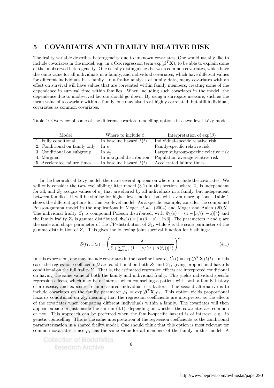## 5 COVARIATES AND FRAILTY RELATIVE RISK

The frailty variable describes heterogeneity due to unknown covariates. One would usually like to include covariates in the model, e.g. in a Cox regression term  $\exp(\beta^T \mathbf{X})$ , to be able to explain some of the unobserved heterogeneity. One usually distinguishes between common covariates, which have the same value for all individuals in a family, and individual covariates, which have different values for different individuals in a family. In a frailty analysis of family data, many covariates with an effect on survival will have values that are correlated within family members, creating some of the dependence in survival time within families. When including such covariates in the model, the dependence due to unobserved factors should go down. By using a surrogate measure, such as the mean value of a covariate within a family, one may also treat highly correlated, but still individual, covariates as common covariates.

Table 1: Overview of some of the different covariate modelling options in a two-level Lévy model.

| Model                         | Where to include $\beta$        | Interpretation of $\exp(\beta)$        |
|-------------------------------|---------------------------------|----------------------------------------|
| 1. Fully conditional          | In baseline hazard $\lambda(t)$ | Individual-specific relative risk      |
| 2. Conditional on family only | $\ln \rho_1$                    | Family-specific relative risk          |
| 3. Conditional on subgroup    | In $\rho_2$                     | Larger subgroup-specific relative risk |
| 4. Marginal                   | In marginal distribution        | Population average relative risk       |
| 5. Accelerated failure times  | In baseline hazard $\lambda(t)$ | Accelerated failure times              |

In the hierarchical Lévy model, there are several options on where to include the covariates. We will only consider the two-level sibling/litter model  $(3.1)$  in this section, where  $Z_1$  is independent for all, and  $Z_2$  assigns values of  $\rho_1$  that are shared by all individuals in a family, but independent between families. It will be similar for higher-level models, but with even more options. Table 1 shows the different options for this two-level model. As a specific example, consider the compound Poisson-gamma model in the applications in Moger et al. (2004) and Moger and Aalen (2005). The individual frailty  $Z_1$  is compound Poisson distributed, with  $\Psi_1(s) = \{1 - [\nu/(\nu + s)]^{\eta}\}\$ and the family frailty  $Z_2$  is gamma distributed,  $\Psi_2(s) = \left[\ln(\delta + s) - \ln \delta\right]$ . The parameters  $\nu$  and  $\eta$  are the scale and shape parameter of the CP-distribution of  $Z_1$ , while  $\delta$  is the scale parameter of the gamma distribution of  $Z_2$ . This gives the following joint survival function for k siblings:

$$
S(t_1, ... t_k) = \left(\frac{\delta}{\delta + \sum_{i=1}^k \left\{1 - \left[\nu/(\nu + \Lambda(t_i))\right]^{\eta}\right\}}\right)^{\rho_2}
$$
(4.1)

In this expression, one may include covariates in the baseline hazard,  $\lambda'(t) = \exp(\beta^T \mathbf{X}) \lambda(t)$ . In this case, the regression coefficients  $\beta$  are conditional on both  $Z_1$  and  $Z_2$ , giving proportional hazards conditional on the full frailty  $Y$ . That is, the estimated regression effects are interpreted conditional on having the same value of both the family and individual frailty. This yields individual specific regression effects, which may be of interest when counselling a patient with both a family history of a disease, and exposure to unmeasured individual risk factors. The second alternative is to include covariates on the family parameter  $\rho'_1 = \exp(\boldsymbol{\beta}^T \mathbf{X}) \rho_1$ . This option yields proportional hazards conditional on  $Z_2$ , meaning that the regression coefficients are interpreted as the effects of the covariates when comparing different individuals within a family. The covariates will then appear outside or just inside the sum in (4.1), depending on whether the covariates are common or not. This approach can be preferred when the family-specific hazard is of interest, e.g. in genetic counselling. This is the same interpretation of the regression coefficients as the conditional parameterization in a shared frailty model. One should think that this option is most relevant for common covariates, since  $\rho_1$  has the same value for all members of the family in this model. A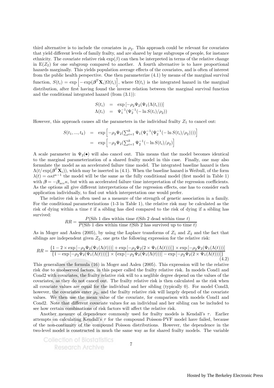third alternative is to include the covariates in  $\rho_2$ . This approach could be relevant for covariates that yield different levels of family frailty, and are shared by large subgroups of people, for instance ethnicity. The covariate relative risk  $\exp(\beta)$  can then be interpreted in terms of the relative change in  $E(Z_2)$  for one subgroup compared to another. A fourth alternative is to have proportional hazards marginally. This yields population average effects of the covariates, and is often of interest from the public health perspective. One then parameterize (4.1) by means of the marginal survival function,  $S(t_i) = \exp\left[-\exp(\boldsymbol{\beta}^T \mathbf{X}_i) \Omega(t_i)\right]$ , where  $\Omega(t_i)$  is the integrated hazard in the marginal distribution, after first having found the inverse relation between the marginal survival function and the conditional integrated hazard (from (3.1)):

$$
S(t_i) = \exp[-\rho_2 \Psi_2(\Psi_1(\Lambda(t_i)))]
$$
  

$$
\Lambda(t_i) = \Psi_1^{-1}(\Psi_2^{-1}(-\ln S(t_i)/\rho_2))
$$

However, this approach causes all the parameters in the individual frailty  $Z_1$  to cancel out:

$$
S(t_1, ..., t_k) = \exp \left[ -\rho_2 \Psi_2 (\sum_{i=1}^k \Psi_1(\Psi_1^{-1}(\Psi_2^{-1}(-\ln S(t_i)/\rho_2)))) \right]
$$
  
= 
$$
\exp \left[ -\rho_2 \Psi_2(\sum_{i=1}^k \Psi_2^{-1}(-\ln S(t_i)/\rho_2)) \right]
$$

A scale parameter in  $\Psi_2(\bullet)$  will also cancel out. This means that the model becomes identical to the marginal parameterization of a shared frailty model in this case. Finally, one may also formulate the model as an accelerated failure time model. The integrated baseline hazard is then  $\Lambda(t/\exp(\boldsymbol{\beta}^T\mathbf{X}_i))$ , which may be inserted in (4.1). When the baseline hazard is Weibull, of the form  $\lambda(t) = \alpha \kappa t^{\kappa-1}$  the model will be the same as the fully conditional model (first model in Table 1) with  $\beta = -\beta_{acc}\kappa$ , but with an accelerated failure time interpretation of the regression coefficients. As the options all give different interpretations of the regression effects, one has to consider each application individually, to find out which interpretation one would prefer.

The relative risk is often used as a measure of the strength of genetic association in a family. For the conditional parameterizations (1-3 in Table 1), the relative risk may be calculated as the risk of dying within a time  $t$  if a sibling has died compared to the risk of dying if a sibling has survived:

$$
RR = \frac{P(\text{Sib 1 dies within time } t | \text{Sib 2 dead within time } t)}{P(\text{Sib 1 dies within time } t | \text{Sib 2 has survived up to time } t)}
$$

As in Moger and Aalen (2005), by using the Laplace transforms of  $Z_1$  and  $Z_2$  and the fact that siblings are independent given  $Z_2$ , one gets the following expression for the relative risk:

$$
RR = \frac{\{1 - 2 \times \exp\left[-\rho_2 \Psi_2(\Psi_1(\Lambda(t)))\right] + \exp\left[-\rho_2 \Psi_2(2 \times \Psi_1(\Lambda(t)))\right]\} \times \exp\left[-\rho_2 \Psi_2(\Psi_1(\Lambda(t)))\right]}{\{1 - \exp\left[-\rho_2 \Psi_2(\Psi_1(\Lambda(t)))\right]\} \times \{\exp\left[-\rho_2 \Psi_2(\Psi_1(\Lambda(t)))\right] - \exp\left[-\rho_2 \Psi_2(2 \times \Psi_1(\Lambda(t)))\right]\}}
$$
(4.2)

This generalizes the formula (16) in Moger and Aalen (2005). This expression will be the relative risk due to unobserved factors, in this paper called the frailty relative risk. In models Cond1 and Cond2 with covariates, the frailty relative risk will to a neglible degree depend on the values of the covariates, as they do not cancel out. The frailty relative risk is then calculated as the risk when all covariate values are equal for the individual and her sibling (typically 0). For model Cond3, however, the covariates enter  $\rho_2$ , and the frailty relative risk will largely depend of the covariate values. We then use the mean value of the covariate, for comparison with models Cond1 and Cond2. Note that different covariate values for an individual and her sibling can be included to see how certain combinations of risk factors will affect the relative risk.

Another measure of dependence commonly used for frailty models is Kendall's  $\tau$ . Earlier attempts on calculating Kendall's  $\tau$  for the compound Poisson-PVF model have failed, because of the non-continuity of the compound Poisson distributions. However, the dependence in the two-level model is constructed in much the same way as for shared frailty models. The variable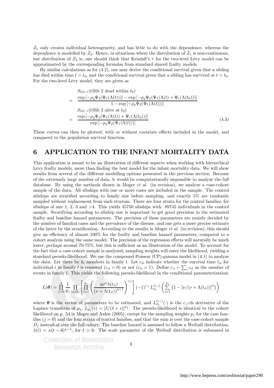$Z_1$  only creates individual heterogeneity, and has little to do with the dependence, whereas the dependence is modelled by  $Z_2$ . Hence, in situations where the distribution of  $Z_1$  is non-continuous, but distribution of  $Z_2$  is, one should think that Kendall's  $\tau$  for the two-level Lévy model can be approximated by the corresponding formulas from standard shared frailty models.

By similar calculations as for  $(4.2)$ , one may derive the conditional survival given that a sibling has died within time  $t = t_0$ , and the conditional survival given that a sibling has survived at  $t = t_0$ . For the two-level Lévy model, they are given as

$$
S_{\text{Sib }1}(t|\text{Sib 2 dead within }t_0)
$$
\n
$$
= \frac{\exp\left[-\rho_2\Psi_2(\Psi_1(\Lambda(t)))\right] - \exp\left[-\rho_2\Psi_2(\Psi_1(\Lambda(t)) + \Psi_1(\Lambda(t_0)))\right]}{1 - \exp\left[-\rho_2\Psi_2(\Psi_1(\Lambda(t)))\right]}
$$
\n
$$
S_{\text{Sib }1}(t|\text{Sib 2 alive at }t_0)
$$
\n
$$
= \frac{\exp\left[-\rho_2\Psi_2(\Psi_1(\Lambda(t)) + \Psi_1(\Lambda(t_0)))\right]}{\exp\left[-\rho_2\Psi_2(\Psi_1(\Lambda(t)))\right]}
$$
\n(4.3)

These curves can then be plotted, with or without covariate effects included in the model, and compared to the population survival function.

### 6 APPLICATION TO THE INFANT MORTALITY DATA

This application is meant to be an illustration of different aspects when working with hierarchical Lévy frailty models, more than finding the best model for the infant mortality data. We will show results from several of the different modelling options presented in the previous section. Because of the extremely large number of data, it would be computationally impossible to analyze the full database. By using the methods shown in Moger et al. (in revision), we analyze a case-cohort sample of the data. All sibships with one or more cases are included in the sample. The control sibships are stratified according to family size before sampling, and exactly 5% are randomly sampled without replacement from each stratum. There are four strata for the control families, for sibships of size 1, 2, 3 and  $>4$ . This yields 45750 sibships with 89745 individuals in the control sample. Stratifying according to sibship size is important to get good precision in the estimated frailty and baseline hazard parameters. The precision of these parameters are mainly decided by the number of familial cases and the prevalence of the disease, and one gets a more precise estimate of the latter by the stratification. According to the results in Moger  $et al.$  (in revision), this should give an efficiency of almost 100% for the frailty and baseline hazard parameters, compared to a cohort analysis using the same model. The precision of the regression effects will naturally be much lower, perhaps around 70-75%, but this is sufficient as an illustration of the model. To account for the fact that a case-cohort sample is analyzed, sampling weights will enter the likelihood, yielding a standard pseudo-likelihood. We use the compound Poisson (CP)-gamma model in (4.1) to analyze the data. Let there be  $k_l$  members in family l. Let  $c_{il}$  indicate whether the survival time  $t_{il}$  for individual *i* in family *l* is censored  $(c_{il} = 0)$  or not  $(c_{il} = 1)$ . Define  $c_{il} = \sum_i c_{il}$  as the number of events in family l. This yields the following pseudo-likelihood in the conditional parameterization:

$$
L(\theta) = \prod_{j=0}^{4} \frac{1}{p_j} \prod_{l \in D_j} \left[ \prod_{i=1}^{k_l} \left( \frac{\eta \nu^{\eta} \lambda(t_{il})}{(\nu + \Lambda(t_{il}))^{\eta+1}} \right)^{c_{il}} \right] (-1)^{c_{.l}} L_{\rho_1}^{(c_{.l})} \left( \sum_{i=1}^{k_i} \left\{ 1 - [\nu/(\nu + \Lambda(t_{il}))]^{\eta} \right\} \right)
$$

where  $\theta$  is the vector of parameters to be estimated, and  $L_{\rho_1}^{(c_l)}(\cdot)$  is the  $c_l$ -th derivative of the Laplace transform of  $\rho_1$ ,  $L_{\rho_1}(s)=[\delta/(\delta+s)]^{\rho_2}$ . The pseudo-likelihood is identical to the cohort likelihood on p. 54 in Moger and Aalen (2005), except for the sampling weights  $p_j$  for the case families  $(j = 0)$  and the four strata of control families, and that the sum is over the case-cohort sample  $D_j$  instead of over the full cohort. The baseline hazard is assumed to follow a Weibull distribution,  $\lambda(t) = \kappa(t-6)^{\kappa-1}$ , for  $t > 6$ . The scale parameter of the Weibull distribution is subsumed in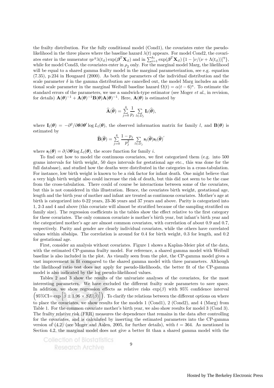the frailty distribution. For the fully conditional model (Cond1), the covariates enter the pseudolikelihood in the three places where the baseline hazard  $\lambda(t)$  appears. For model Cond2, the covariates enter in the numerator  $\eta v^{\eta} \lambda(t_{il}) \exp(\boldsymbol{\beta}^T \mathbf{X}_{il})$  and in  $\sum_{i=1}^{k_l} \exp(\boldsymbol{\beta}^T \mathbf{X}_{il}) \{1 - [\nu/(\nu + \Lambda(t_{il}))]^{\eta}\},$ while for model Cond3, the covariates enter in  $\rho_2$  only. For the marginal model Marg, the likelihood will be equal to a shared gamma frailty model in the marginal parameterization, see e.g. equation (7.35), p.234 in Hougaard (2000). As both the parameters of the individual distribution and the scale parameter  $\delta$  in the gamma distribution are cancelled out, the model Marg includes an additional scale parameter in the marginal Weibull baseline hazard  $\Omega(t) = \alpha(t-6)^{\kappa}$ . To estimate the standard errors of the parameters, we use a sandwich-type estimator (see Moger et al., in revision, for details)  $\mathbf{A}(\boldsymbol{\theta})^{-1} + \mathbf{A}(\boldsymbol{\theta})^{-1}\mathbf{B}(\boldsymbol{\theta})\mathbf{A}(\boldsymbol{\theta})^{-1}$ . Here,  $\mathbf{A}(\boldsymbol{\theta})$  is estimated by

$$
\widehat{\mathbf{A}}(\widehat{\boldsymbol{\theta}}) = \sum_{j=0}^{4} \frac{1}{p_j} \sum_{l \in D_j} \mathbf{I}_l(\widehat{\boldsymbol{\theta}}),
$$

where  $\mathbf{I}_l(\boldsymbol{\theta}) = -\partial^2/\partial \boldsymbol{\theta} \partial \boldsymbol{\theta}' \log L_l(\boldsymbol{\theta})$ , the observed information matrix for family l, and  $\mathbf{B}(\boldsymbol{\theta})$  is estimated by

$$
\widehat{\mathbf{B}}(\widehat{\boldsymbol{\theta}}) = \sum_{j=0}^{4} \frac{1-p_j}{p_j^2} \sum_{l \in D_j} \mathbf{s}_l(\widehat{\boldsymbol{\theta}}) \mathbf{s}_l(\widehat{\boldsymbol{\theta}})'
$$

where  $s_i(\theta) = \partial/\partial \theta \log L_i(\theta)$ , the score function for family i.

To find out how to model the continuous covariates, we first categorized them (e.g. into 500 grams intervals for birth weight, 50 days intervals for gestational age etc., this was done for the full database), and studied how the deaths were distributed in the categories in a cross-tabulation. For instance, low birth weight is known to be a risk factor for infant death. One might believe that a very high birth weight also could increase the risk of death, but this did not seem to be the case from the cross-tabulation. There could of course be interactions between some of the covariates, but this is not considered in this illustration. Hence, the covariates birth weight, gestational age, length and the birth year of mother and infant are treated as continuous covariates. Mother's age at birth is categorized into 0-22 years, 23-36 years and 37 years and above. Parity is categorized into 1, 2-3 and 4 and above (this covariate will almost be stratified because of the sampling stratified on family size). The regression coefficients in the tables show the effect relative to the first category for these covariates. The only common covariate is mother's birth year, but infant's birth year and the categorized mother's age are almost common covariates, with correlation of about 0.9 and 0.7, respectively. Parity and gender are clearly individual covariates, while the others have correlated values within sibships. The correlation is around for 0.4 for birth weight, 0.3 for length, and 0.2 for gestational age.

First, consider an analysis without covariates. Figure 1 shows a Kaplan-Meier plot of the data, with the estimated CP-gamma frailty model. For reference, a shared gamma model with Weibull baseline is also included in the plot. As visually seen from the plot, the CP-gamma model gives a vast improvement in fit compared to the shared gamma model with three parameters. Although the likelihood ratio test does not apply for pseudo-likelihoods, the better fit of the CP-gamma model is also indicated by the log pseudo-likelihood values.

Tables 2 and 3 show the results of the univariate analyses of the covariates, for the most interesting parameters. We have excluded the different frailty scale parameters to save space. In addition, we show regression effects as relative risks  $\exp(\beta)$  with 95% confidence interval  $(95\%CI = exp \left[\hat{\beta} \pm 1.96 \times SE(\hat{\beta})\right])$ . To clarify the relations between the different options on where to place the covariates, we show results for the models 1 (Cond1), 2 (Cond2), and 4 (Marg) from Table 1. For the common covariate mother's birth year, we also show results for model 3 (Cond 3). The frailty relative risk (FRR) measures the dependence that remains in the data after controlling for the covariates, and is calculated by inserting the estimated parameters into the CP-gamma version of  $(4.2)$  (see Moger and Aalen, 2005, for further details), with  $t = 364$ . As mentioned in Section 4.2, the marginal model does not give a better fit than a shared gamma model with the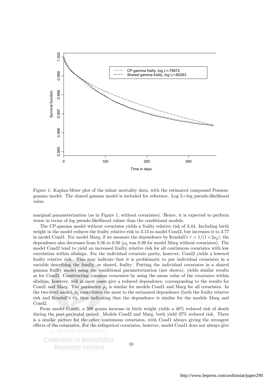

Figure 1: Kaplan-Meier plot of the infant mortality data, with the estimated compound Poissongamma model. The shared gamma model is included for reference. Log L=log pseudo-likelihood value.

marginal parameterization (as in Figure 1, without covariates). Hence, it is expected to perform worse in terms of log pseudo-likelihood values than the conditional models.

The CP-gamma model without covariates yields a frailty relative risk of 3.44. Including birth weight in the model reduces the frailty relative risk to 3.13 in model Cond2, but increases it to 3.77 in model Cond1. For model Marg, if we measure the dependence by Kendall's  $\tau = 1/(1 + 2\rho_2)$ , the dependence also decreases from 0.56 to 0.50 ( $\rho_2$  was 0.39 for model Marg without covariates). The model Cond2 tend to yield an increased frailty relative risk for all continuous covariates with low correlation within sibships. For the individual covariate parity, however, Cond2 yields a lowered frailty relative risk. This may indicate that it is problematic to put individual covariates in a variable describing the family, or shared, frailty. Putting the individual covariates in a shared gamma frailty model using the conditional parameterization (not shown), yields similar results as for Cond2. Constructing common covariates by using the mean value of the covariates within sibships, however, will in most cases give a reduced dependence, corresponding to the results for Cond1 and Marg. The parameter  $\rho_2$  is similar for models Cond1 and Marg for all covariates. In the two-level model,  $\rho_2$  contributes the most to the estimated dependence (both the frailty relative risk and Kendall's  $\tau$ ), thus indicating that the dependence is similar for the models Marg and Cond2.

From model Cond1, a 500 grams increase in birth weight yields a 48% reduced risk of death during the post-perinatal period. Models Cond2 and Marg, both yield 37% reduced risk. There is a similar picture for the other continuous covariates, with Cond1 always giving the strongest effects of the covariates. For the categorical covariates, however, model Cond1 does not always give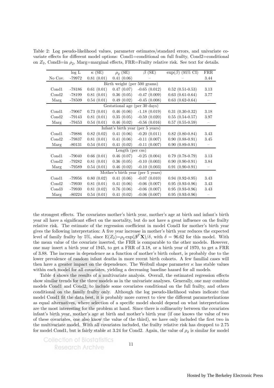|                                      | log L    | $\kappa$ (SE) | $\rho_2$ (SE) | β<br>(SE)         | $\exp(\beta)$ (95% CI)                                                  | FRR                      |  |  |
|--------------------------------------|----------|---------------|---------------|-------------------|-------------------------------------------------------------------------|--------------------------|--|--|
| No Cov.                              | -79972   | 0.81(0.01)    | 0.41(0.06)    |                   |                                                                         | 3.44                     |  |  |
| Birth weight (per 500 grams)         |          |               |               |                   |                                                                         |                          |  |  |
| Cond1                                | $-78186$ | 0.61(0.01)    | 0.47(0.07)    | $-0.65(0.012)$    | $0.52$ $(0.51-0.53)$                                                    | 3.13                     |  |  |
| Cond2                                | -78199   | 0.81(0.01)    | 0.36(0.05)    | $-0.47(0.009)$    | $0.63$ $(0.61 - 0.64)$                                                  | 3.77                     |  |  |
| Marg                                 | -78509   | 0.54(0.01)    | 0.49(0.02)    | $-0.45(0.008)$    | $0.63$ $(0.62 - 0.64)$                                                  |                          |  |  |
|                                      |          |               |               |                   |                                                                         |                          |  |  |
| Cond1                                | -79067   | 0.73(0.01)    | 0.46(0.06)    | $-1.18(0.019)$    | $0.31(0.30-0.32)$                                                       | 3.18                     |  |  |
| Cond2                                | $-79143$ | 0.81(0.01)    | 0.35(0.05)    | $-0.59(0.020)$    | $0.55(0.54-0.57)$                                                       | 3.97                     |  |  |
| Marg                                 | $-79453$ | 0.54(0.01)    | 0.46(0.02)    | $-0.56$ $(0.016)$ | $0.57(0.55-0.59)$                                                       | $\overline{\phantom{m}}$ |  |  |
|                                      |          |               |               | (per 5 years)     |                                                                         |                          |  |  |
| Cond1                                | -79886   | 0.82(0.02)    | 0.41(0.06)    | $-0.20(0.011)$    | $0.82$ $(0.80 - 0.84)$                                                  | 3.43                     |  |  |
| Cond2                                | -79837   | 0.81(0.01)    | 0.41(0.06)    | $-0.11(0.007)$    | $0.90(0.88-0.91)$                                                       | 3.45                     |  |  |
| Marg                                 | $-80131$ | 0.54(0.01)    | 0.41(0.02)    | $-0.11(0.007)$    | $0.90(0.89-0.91)$                                                       |                          |  |  |
|                                      |          |               |               |                   |                                                                         |                          |  |  |
| Cond1                                | $-79040$ | 0.66(0.01)    | 0.46(0.07)    | $-0.25(0.004)$    | $0.79$ $(0.78-0.79)$                                                    | 3.13                     |  |  |
| Cond2                                | -79282   | 0.81(0.01)    | 0.36(0.05)    | $-0.10(0.003)$    | $0.90(0.90-0.91)$                                                       | 3.84                     |  |  |
| Marg                                 | -79589   | 0.54(0.01)    | 0.46(0.02)    | $-0.10(0.003)$    | $0.91(0.90-0.91)$                                                       |                          |  |  |
| Mother's birth year<br>(per 5 years) |          |               |               |                   |                                                                         |                          |  |  |
| Cond1                                | -79956   | 0.80(0.02)    | 0.41(0.06)    | $-0.07(0.010)$    | $0.94(0.92-0.95)$                                                       | 3.43                     |  |  |
| Cond2                                | -79930   | 0.81(0.01)    | 0.41(0.06)    | $-0.06$ $(0.007)$ | $0.95(0.93-0.96)$                                                       | 3.43                     |  |  |
| Cond3                                | -79930   | 0.81(0.02)    | 0.76(0.06)    | $-0.06$ $(0.007)$ | $0.95(0.93-0.96)$                                                       | 3.43                     |  |  |
| Marg                                 | $-80224$ | 0.54(0.01)    | 0.41(0.02)    | $-0.06$ $(0.007)$ | $0.95(0.93-0.96)$                                                       |                          |  |  |
|                                      |          |               |               |                   | Gestational age (per 30 days)<br>Infant's birth year<br>Length (per cm) |                          |  |  |

Table 2: Log pseudo-likelihood values, parameter estimates/standard errors, and univariate covariate effects for different model options: Cond1=conditional on full frailty, Cond2=conditional on  $Z_2$ , Cond3=in  $\rho_2$ , Marg=marginal effects, FRR=Frailty relative risk. See text for details.

the strongest effects. The covariates mother's birth year, mother's age at birth and infant's birth year all have a significant effect on the mortality, but do not have a great influence on the frailty relative risk. The estimate of the regression coefficient in model Cond3 for mother's birth year gives the following interpretation: A five year increase in mother's birth year reduces the expected level of family frailty by 5%, since  $E(Z_2) = \rho_2 \exp(\beta^T \mathbf{X})/\delta$ , with  $\delta = 96.62$  for this model. With the mean value of the covariate inserted, the FRR is comparable to the other models. However, one may insert a birth year of 1945, to get a FRR of 3.18, or a birth year of 1970, to get a FRR of 3.88. The increase in dependence as a function of mother's birth cohort, is probably due to the lower prevalence of random infant deaths in more recent birth cohorts. A few familial cases will then have a greater impact on the dependence. The Weibull shape parameter  $\kappa$  has stable values within each model for all covariates, yielding a decreasing baseline hazard for all models.

Table 4 shows the results of a multivariate analysis. Overall, the estimated regression effects show similar trends for the three models as in the univariate analyses. Generally, one may combine models Cond1 and Cond2, to include some covariates conditional on the full frailty, and others conditional on the family frailty only. Although the log pseudo-likelihood values indicate that model Cond1 fit the data best, it is probably more correct to view the different parameterizations as equal alternatives, where selection of a specific model should depend on what interpretations are the most interesting for the problem at hand. Since there is collinearity between the covariates infant's birth year, mother's age at birth and mother's birth year (if one knows the value of two of these covariates, one also know the value of the third), we have only included the first two in the multivariate model. With all covariates included, the frailty relative risk has dropped to 2.75 for model Cond1, but is fairly stable at 3.24 for Cond2. Again, the value of  $\rho_2$  is similar for model

11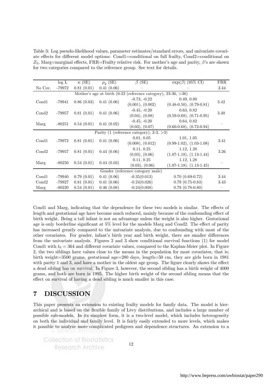Table 3: Log pseudo-likelihood values, parameter estimates/standard errors, and univariate covariate effects for different model options: Cond1=conditional on full frailty, Cond2=conditional on  $Z_2$ , Marg=marginal effects, FRR=Frailty relative risk. For mother's age and parity,  $\beta$ 's are shown for two categories compared to the reference group. See text for details.

|                                                                     | log L      | $\kappa$ (SE)  | $\rho_2$ (SE) | $\beta$ (SE)                                   | $\exp(\beta)$ (95% CI)     | <b>FRR</b> |  |
|---------------------------------------------------------------------|------------|----------------|---------------|------------------------------------------------|----------------------------|------------|--|
| No Cov.                                                             | -79972     | 0.81(0.01)     | 0.41(0.06)    |                                                |                            | 3.44       |  |
| Mother's age at birth $(0-22)$ (reference category), 23-36, $>36$ ) |            |                |               |                                                |                            |            |  |
| Cond1<br>-79941                                                     | 0.41(0.06) | $-0.73, -0.22$ | 0.49, 0.80    | 3.42                                           |                            |            |  |
|                                                                     |            | 0.86(0.03)     |               | (0.001), (0.002)                               | $(0.48-0.50), (0.79-0.81)$ |            |  |
| Cond2                                                               | -79957     | 0.81(0.01)     | 0.41(0.06)    | $-0.45, -0.20$                                 | 0.63, 0.82                 | 3.40       |  |
|                                                                     |            |                |               | (0.04), (0.08)                                 | $(0.59-0.68), (0.71-0.95)$ |            |  |
|                                                                     |            |                |               | $-0.45, -0.20$                                 | 0.64, 0.82                 |            |  |
| Marg                                                                | -80251     | 0.54(0.01)     | 0.41(0.02)    | (0.03), (0.07)                                 | $(0.60-0.68), (0.72-0.94)$ |            |  |
|                                                                     |            |                |               | Parity (1 (reference category), $2-3$ , $>3$ ) |                            |            |  |
| Cond1                                                               | -79972     |                | 0.41(0.06)    | 0.01, 0.05                                     | 1.01, 1.05                 | 3.41       |  |
|                                                                     |            | 0.81(0.01)     |               | (0.008), (0.012)                               | $(0.99-1.02), (1.03-1.08)$ |            |  |
| Cond2                                                               | -79957     | 0.81(0.01)     | 0.44(0.06)    | 0.11, 0.25                                     | 1.12, 1.28                 | 3.26       |  |
|                                                                     |            |                |               | $(0.03)$ , $(0.06)$                            | $(1.07-1.18), (1.13-1.44)$ |            |  |
| Marg<br>$-80250$                                                    | 0.54(0.01) | 0.44(0.03)     | 0.11, 0.25    | 1.12, 1.28                                     |                            |            |  |
|                                                                     |            |                |               | (0.03), (0.06)                                 | $(1.07-1.18), (1.13-1.45)$ |            |  |
| Gender (reference category male)                                    |            |                |               |                                                |                            |            |  |
| Cond1                                                               | -79940     | 0.79(0.01)     | 0.41(0.06)    | $-0.35(0.013)$                                 | $0.70(0.69-0.72)$          | 3.44       |  |
| Cond2                                                               | -79927     | 0.81(0.01)     | 0.41(0.06)    | $-0.24(0.026)$                                 | $0.79(0.75-0.83)$          | 3.43       |  |
| Marg                                                                | $-80220$   | 0.54(0.01)     | 0.46(0.08)    | $-0.24(0.008)$                                 | $0.79(0.78-0.80)$          |            |  |

Cond1 and Marg, indicating that the dependence for these two models is similar. The effects of length and gestational age have become much reduced, mainly because of the confounding effect of birth weight. Being a tall infant is not an advantage unless the weight is also higher. Gestational age is only borderline significant at 5% level for the models Marg and Cond2. The effect of parity has increased greatly compared to the univariate analysis, due to confounding with most of the other covariates. For gender, infant's birth year and birth weight, there are smaller differences from the univariate analysis. Figures 2 and 3 show conditional survival functions (1) for model Cond1 with  $t_0 = 364$  and different covariate values, compared to the Kaplan-Meier plot. In Figure 2, the two siblings have values close to the means in the population for most covariates, that is; birth weight=3500 grams, gestational age=280 days, length=50 cm, they are girls born in 1981 with parity 1 and 3, and have a mother in the oldest age group. The figure clearly shows the effect a dead sibling has on survival. In Figure 3, however, the second sibling has a birth weight of 4000 grams, and both are born in 1995. The higher birth weight of the second sibling means that the effect on survival of having a dead sibling is much smaller in this case.

## 7 DISCUSSION

This paper presents an extension to existing frailty models for family data. The model is hierarchical and is based on the flexible family of Lévy distributions, and includes a large number of possible sub-models. In its simplest form, it is a two-level model, which includes heterogeneity on both the individual and family level. It is fairly easily extended to more levels, which makes it possible to analyze more complicated pedigrees and dependence structures. An extension to a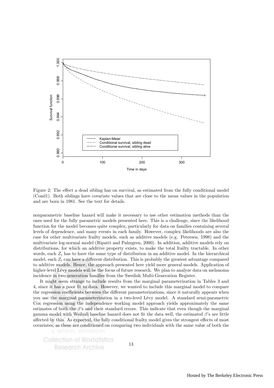

Figure 2: The effect a dead sibling has on survival, as estimated from the fully conditional model (Cond1). Both siblings have covariate values that are close to the mean values in the population and are born in 1981. See the text for details.

nonparametric baseline hazard will make it necessary to use other estimation methods than the ones used for the fully parametric models presented here. This is a challenge, since the likelihood function for the model becomes quite complex, particularly for data on families containing several levels of dependence, and many events in each family. However, complex likelihoods are also the case for other multivariate frailty models, such as additive models (e.g. Petersen, 1998) and the multivariate log-normal model (Ripatti and Palmgren, 2000). In addition, additive models rely on distributions, for which an additive property exists, to make the total frailty tractable. In other words, each  $Z_i$  has to have the same type of distribution in an additive model. In the hierarchical model, each  $Z_i$  can have a different distribution. This is probably the greatest advantage compared to additive models. Hence, the approach presented here yield more general models. Application of higher-level Lévy models will be the focus of future research. We plan to analyze data on melanoma incidence in two-generation families from the Swedish Multi-Generation Register.

It might seem strange to include results from the marginal parameterization in Tables 3 and 4, since it has a poor fit to data. However, we wanted to include this marginal model to compare the regression coefficients between the different parameterizations, since it naturally appears when you use the marginal parameterization in a two-level Lévy model. A standard semi-parametric Cox regression using the independence working model approach yields approximately the same estimates of both the  $\beta$ 's and their standard errors. This indicate that even though the marginal gamma model with Weibull baseline hazard does not fit the data well, the estimated  $\beta$ 's are little affected by this. As expected, the fully conditional frailty model gives the strongest effects of most covariates, as these are conditioned on comparing two individuals with the same value of both the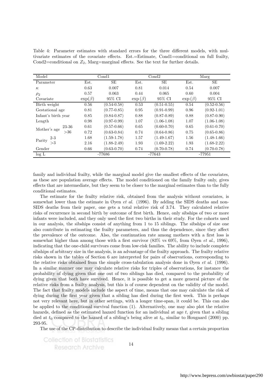Table 4: Parameter estimates with standard errors for the three different models, with multivariate estimates of the covariate effects. Est.=Estimate, Cond1=conditional on full frailty, Cond2=conditional on  $Z_2$ , Marg=marginal effects. See the text for further details.

| Model                 |               | Cond1           | Cond2         |                 | Marg          |                 |
|-----------------------|---------------|-----------------|---------------|-----------------|---------------|-----------------|
| Parameter             | Est.          | SE              | Est.          | SE              | Est.          | SE              |
| $\kappa$              | 0.63          | 0.007           | 0.81          | 0.014           | 0.54          | 0.007           |
| $\rho_{2}$            | 0.57          | 0.063           | 0.44          | 0.065           | 0.60          | 0.004           |
| Covariate             | $\exp(\beta)$ | 95% CI          | $\exp(\beta)$ | 95% CI          | $\exp(\beta)$ | 95% CI          |
| Birth weight          | 0.56          | $(0.54 - 0.58)$ | 0.53          | $(0.51 - 0.55)$ | 0.54          | $(0.52 - 0.56)$ |
| Gestational age       | 0.81          | $(0.77-0.85)$   | 0.95          | $(0.91 - 0.99)$ | 0.96          | $(0.92 - 1.01)$ |
| Infant's birth year   | 0.85          | $(0.84 - 0.87)$ | 0.88          | $(0.87 - 0.89)$ | 0.88          | $(0.87 - 0.90)$ |
| Length                | 0.98          | $(0.97 - 0.99)$ | 1.07          | $(1.06-1.08)$   | 1.07          | $(1.06-1.08)$   |
| 23-36<br>Mother's age | 0.61          | $(0.57-0.66)$   | 0.65          | $(0.60 - 0.70)$ | 0.65          | $(0.61 - 0.70)$ |
| >36                   | 0.72          | $(0.63 - 0.84)$ | 0.74          | $(0.64 - 0.86)$ | 0.75          | $(0.65 - 0.86)$ |
| $2 - 3$               | 1.68          | $(1.59 - 1.78)$ | 1.57          | $(1.49-1.67)$   | 1.56          | $(1.48-1.66)$   |
| Parity<br>>3          | 2.16          | $(1.88 - 2.49)$ | 1.93          | $(1.69 - 2.22)$ | 1.93          | $(1.68 - 2.22)$ |
| Gender                | 0.66          | $(0.63 - 0.70)$ | 0.74          | $(0.70 - 0.78)$ | 0.74          | $(0.70 - 0.78)$ |
| log L                 | -77686        |                 | -77643        |                 | $-77951$      |                 |

family and individual frailty, while the marginal model give the smallest effects of the covariates, as these are population average effects. The model conditioned on the family frailty only, gives effects that are intermediate, but they seem to be closer to the marginal estimates than to the fully conditional estimates.

The estimate for the frailty relative risk, obtained from the analysis without covariates, is somewhat lower than the estimate in Øyen *et al.* (1996). By adding the SIDS deaths and non-SIDS deaths from their paper, one gets a total relative risk of 3.74. They calculated relative risks of recurrence in second birth by outcome of first birth. Hence, only sibships of two or more infants were included, and they only used the first two births in their study. For the cohorts used in our analysis, the sibships consist of anything from 1 to 15 siblings. The sibships of size one also contribute in estimating the frailty parameters, and thus the dependence, since they affect the prevalence of the outcome. Also, the continuation rate among mothers with a first loss is somewhat higher than among those with a first survivor  $(83\% \text{ vs } 69\% \text{ from } \textcirc{Qven} \text{ et } al., 1996)$ , indicating that the one-child survivors come from low-risk families. The ability to include complete sibships of arbitrary size in the analysis, is an advantage of the frailty approach. The frailty relative risks shown in the tables of Section 6 are interpreted for pairs of observations, corresponding to the relative risks obtained from the simple cross-tabulation analysis done in Øyen *et al.* (1996). In a similar manner one may calculate relative risks for triples of observations, for instance the probability of dying given that one out of two siblings has died, compared to the probability of dying given that both have survived. Hence, it is possible to get a more general picture of the relative risks from a frailty analysis, but this is of course dependent on the validity of the model. The fact that frailty models include the aspect of time, means that one may calculate the risk of dying during the first year given that a sibling has died during the first week. This is perhaps not very relevant here, but in other settings, with a longer time-span, it could be. This can also be applied to the conditional survival function (1). Alternatively, one may also plot the relative hazards, defined as the estimated hazard function for an individual at age t, given that a sibling died at  $t_0$  compared to the hazard of a sibling's being alive at  $t_0$ , similar to Hougaard (2000) pp. 293-95.

The use of the CP-distribution to describe the individual frailty means that a certain proportion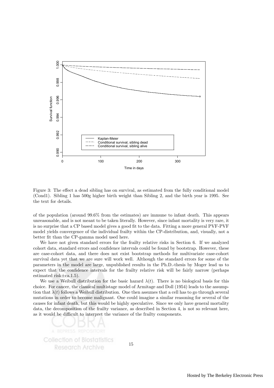

Figure 3: The effect a dead sibling has on survival, as estimated from the fully conditional model (Cond1). Sibling 1 has 500g higher birth weight than Sibling 2, and the birth year is 1995. See the text for details.

of the population (around 99.6% from the estimates) are immune to infant death. This appears unreasonable, and is not meant to be taken literally. However, since infant mortality is very rare, it is no surprise that a CP based model gives a good fit to the data. Fitting a more general PVF-PVF model yields convergence of the individual frailty within the CP-distribution, and, visually, not a better fit than the CP-gamma model used here.

We have not given standard errors for the frailty relative risks in Section 6. If we analyzed cohort data, standard errors and confidence intervals could be found by bootstrap. However, these are case-cohort data, and there does not exist bootstrap methods for multivariate case-cohort survival data yet that we are sure will work well. Although the standard errors for some of the parameters in the model are large, unpublished results in the Ph.D.-thesis by Moger lead us to expect that the confidence intervals for the frailty relative risk will be fairly narrow (perhaps estimated risk $\pm$ ca.1.5).

We use a Weibull distribution for the basic hazard  $\lambda(t)$ . There is no biological basis for this choice. For cancer, the classical multistage model of Armitage and Doll (1954) leads to the assumption that  $\lambda(t)$  follows a Weibull distribution. One then assumes that a cell has to go through several mutations in order to become malignant. One could imagine a similar reasoning for several of the causes for infant death, but this would be highly speculative. Since we only have general mortality data, the decomposition of the frailty variance, as described in Section 4, is not so relevant here, as it would be difficult to interpret the variance of the frailty components.

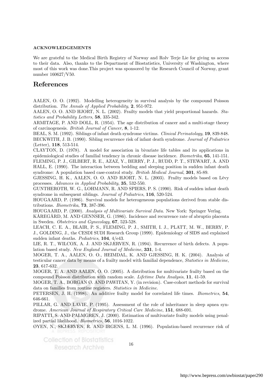#### ACKNOWLEDGEMENTS

We are grateful to the Medical Birth Registry of Norway and Rolv Terje Lie for giving us access to their data. Also, thanks to the Department of Biostatistics, University of Washington, where most of this work was done.This project was sponsored by the Research Council of Norway, grant number 160627/V50.

### References

AALEN, O. O. (1992). Modelling heterogeneity in survival analysis by the compound Poisson distribution. The Annals of Applied Probability, 2, 951-972.

AALEN, O. O. AND HJORT, N. L. (2002). Frailty models that yield proportional hazards. Statistics and Probability Letters, 58, 335-342.

ARMITAGE, P. AND DOLL, R. (1954). The age distribution of cancer and a multi-stage theory of carcinogenesis. British Journal of Cancer, 8, 1-12.

BEAL, S. M. (1992). Siblings of infant death syndrome victims. Clinical Perinatology, 19, 839-848. BECKWITH, J. B. (1990). Sibling recurrence risk of infant death syndrome. Journal of Pediatrics (Letter), 118, 513-514.

CLAYTON, D. (1978). A model for association in bivariate life tables and its applications in epidemiological studies of familial tendency in chronic disease incidence. Biometrika, 65, 141-151. FLEMING, P. J., GILBERT, R. E., AZAZ, Y., BERRY, P. J., RUDD, P. T., STEWART, A. AND HALL, E. (1990). The interaction between bedding and sleeping position in sudden infant death syndrome: A population based case-control study. British Medical Journal, **301**, 85-89.

GJESSING, H. K., AALEN, O. O. AND HJORT, N. L. (2003). Frailty models based on Lévy processes. Advances in Applied Probability, 35, 532-550.

GUNTHEROTH, W. G., LOHMANN, R. AND SPIERS, P. S. (1990). Risk of sudden infant death syndrome in subsequent siblings. Journal of Pediatrics, 116, 520-524.

HOUGAARD, P. (1986). Survival models for heterogeneous populations derived from stable distributions. Biometrika, 73, 387-396.

HOUGAARD, P. (2000). Analysis of Multivariate Survival Data. New York: Springer Verlag.

KÅREGÅRD, M. AND GENNSER, G. (1986). Incidence and recurrence rate of abruptio placenta in Sweden. Obstetrics and Gynecology, 67, 523-528.

LEACH, C. E. A., BLAIR, P. S., FLEMING, P. J., SMITH, I. J., PLATT, M. W., BERRY, P. J., GOLDING, J., the CESDI SUDI Research Group (1999). Epidemiology of SIDS and explained sudden infant deaths. Pediatrics, 104, 4/e43.

LIE, R. T., WILCOX, A. J. AND SKJÆRVEN, R. (1994). Recurrence of birth defects. A population based study. New England Journal of Medicine, 331, 1-4.

MOGER, T. A., AALEN, O. O., HEIMDAL, K. AND GJESSING, H. K. (2004). Analysis of testicular cancer data by means of a frailty model with familial dependence, Statistics in Medicine, 23, 617-632.

MOGER, T. A. AND AALEN, O. O. (2005). A distribution for multivariate frailty based on the compound Poisson distribution with random scale. Lifetime Data Analysis, 11, 41-59.

MOGER, T. A., BORGAN Ø. AND PAWITAN, Y. (in revision). Case-cohort methods for survival data on families from routine registers. Statistics in Medicine.

PETERSEN, J. H. (1998). An additive frailty model for correlated life times. Biometrics, 54, 646-661.

PILLAR, G. AND LAVIE, P. (1995). Assessment of the role of inheritance in sleep apnea syndrome. American Journal of Respiratory Critical Care Medicine, 151, 688-691.

RIPATTI, S. AND PALMGREN, J. (2000). Estimation of multivariate frailty models using penalized partial likelihood. Biometrics, 56, 1016-1022.

ØYEN, N., SKJÆRVEN, R. AND IRGENS, L. M. (1996). Population-based recurrence risk of